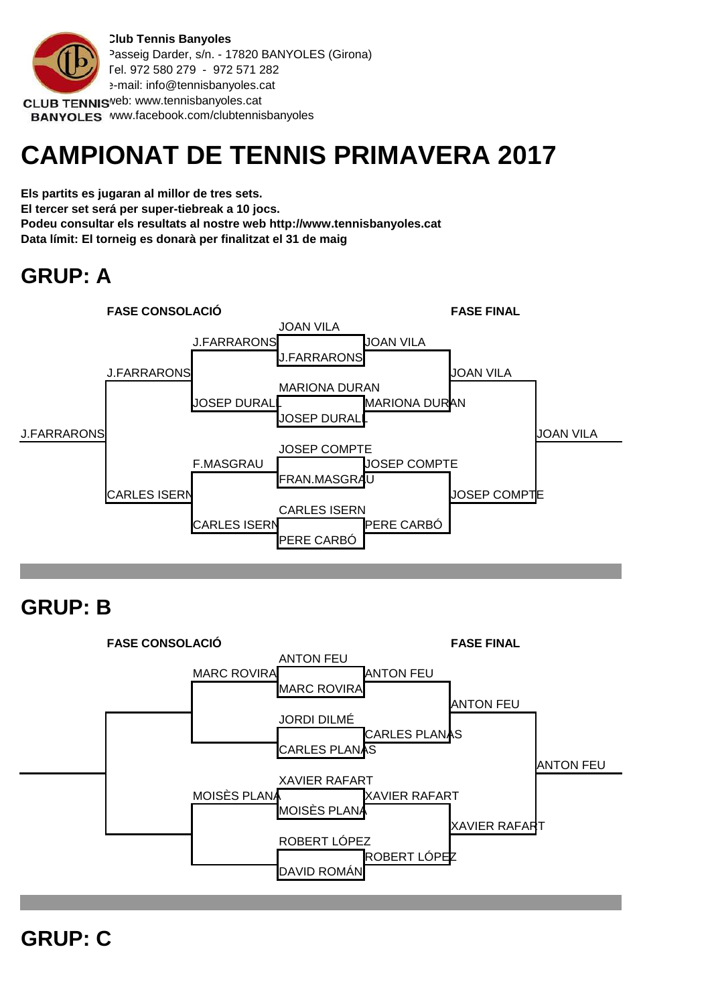

BANYOLES www.facebook.com/clubtennisbanyoles

# **CAMPIONAT DE TENNIS PRIMAVERA 2017**

**Els partits es jugaran al millor de tres sets. El tercer set será per super-tiebreak a 10 jocs. Podeu consultar els resultats al nostre web http://www.tennisbanyoles.cat Data límit: El torneig es donarà per finalitzat el 31 de maig**

## **GRUP: A**



## **GRUP: B**



**GRUP: C**